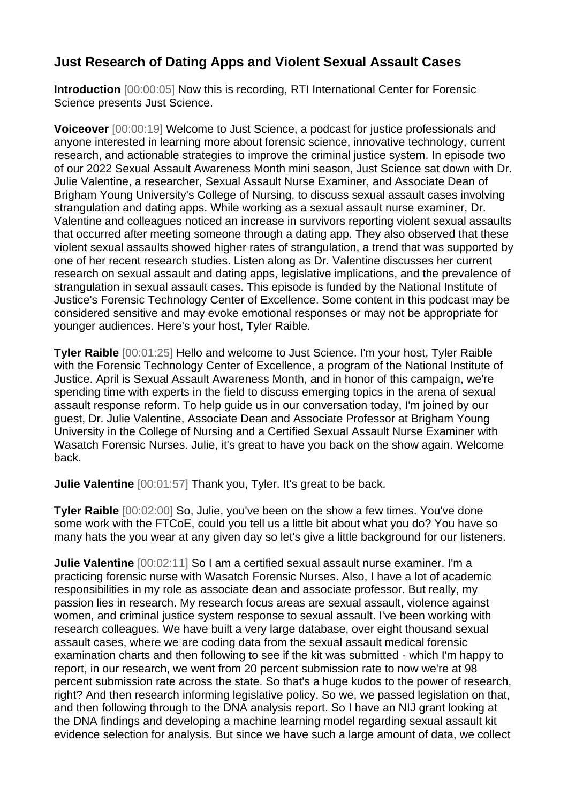## **Just Research of Dating Apps and Violent Sexual Assault Cases**

**Introduction** [00:00:05] Now this is recording, RTI International Center for Forensic Science presents Just Science.

**Voiceover** [00:00:19] Welcome to Just Science, a podcast for justice professionals and anyone interested in learning more about forensic science, innovative technology, current research, and actionable strategies to improve the criminal justice system. In episode two of our 2022 Sexual Assault Awareness Month mini season, Just Science sat down with Dr. Julie Valentine, a researcher, Sexual Assault Nurse Examiner, and Associate Dean of Brigham Young University's College of Nursing, to discuss sexual assault cases involving strangulation and dating apps. While working as a sexual assault nurse examiner, Dr. Valentine and colleagues noticed an increase in survivors reporting violent sexual assaults that occurred after meeting someone through a dating app. They also observed that these violent sexual assaults showed higher rates of strangulation, a trend that was supported by one of her recent research studies. Listen along as Dr. Valentine discusses her current research on sexual assault and dating apps, legislative implications, and the prevalence of strangulation in sexual assault cases. This episode is funded by the National Institute of Justice's Forensic Technology Center of Excellence. Some content in this podcast may be considered sensitive and may evoke emotional responses or may not be appropriate for younger audiences. Here's your host, Tyler Raible.

**Tyler Raible** [00:01:25] Hello and welcome to Just Science. I'm your host, Tyler Raible with the Forensic Technology Center of Excellence, a program of the National Institute of Justice. April is Sexual Assault Awareness Month, and in honor of this campaign, we're spending time with experts in the field to discuss emerging topics in the arena of sexual assault response reform. To help guide us in our conversation today, I'm joined by our guest, Dr. Julie Valentine, Associate Dean and Associate Professor at Brigham Young University in the College of Nursing and a Certified Sexual Assault Nurse Examiner with Wasatch Forensic Nurses. Julie, it's great to have you back on the show again. Welcome back.

**Julie Valentine** [00:01:57] Thank you, Tyler. It's great to be back.

**Tyler Raible** [00:02:00] So, Julie, you've been on the show a few times. You've done some work with the FTCoE, could you tell us a little bit about what you do? You have so many hats the you wear at any given day so let's give a little background for our listeners.

**Julie Valentine** [00:02:11] So I am a certified sexual assault nurse examiner. I'm a practicing forensic nurse with Wasatch Forensic Nurses. Also, I have a lot of academic responsibilities in my role as associate dean and associate professor. But really, my passion lies in research. My research focus areas are sexual assault, violence against women, and criminal justice system response to sexual assault. I've been working with research colleagues. We have built a very large database, over eight thousand sexual assault cases, where we are coding data from the sexual assault medical forensic examination charts and then following to see if the kit was submitted - which I'm happy to report, in our research, we went from 20 percent submission rate to now we're at 98 percent submission rate across the state. So that's a huge kudos to the power of research, right? And then research informing legislative policy. So we, we passed legislation on that, and then following through to the DNA analysis report. So I have an NIJ grant looking at the DNA findings and developing a machine learning model regarding sexual assault kit evidence selection for analysis. But since we have such a large amount of data, we collect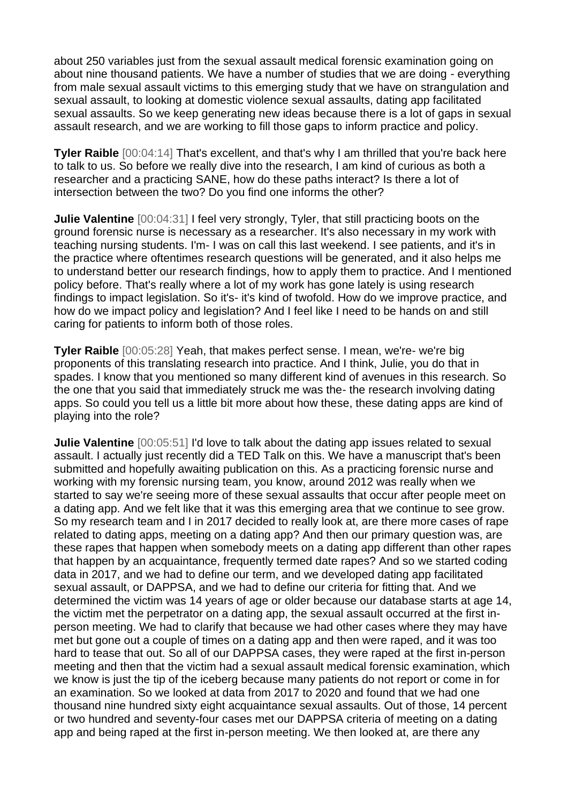about 250 variables just from the sexual assault medical forensic examination going on about nine thousand patients. We have a number of studies that we are doing - everything from male sexual assault victims to this emerging study that we have on strangulation and sexual assault, to looking at domestic violence sexual assaults, dating app facilitated sexual assaults. So we keep generating new ideas because there is a lot of gaps in sexual assault research, and we are working to fill those gaps to inform practice and policy.

**Tyler Raible** [00:04:14] That's excellent, and that's why I am thrilled that you're back here to talk to us. So before we really dive into the research, I am kind of curious as both a researcher and a practicing SANE, how do these paths interact? Is there a lot of intersection between the two? Do you find one informs the other?

**Julie Valentine**  $[00:04:31]$  I feel very strongly, Tyler, that still practicing boots on the ground forensic nurse is necessary as a researcher. It's also necessary in my work with teaching nursing students. I'm- I was on call this last weekend. I see patients, and it's in the practice where oftentimes research questions will be generated, and it also helps me to understand better our research findings, how to apply them to practice. And I mentioned policy before. That's really where a lot of my work has gone lately is using research findings to impact legislation. So it's- it's kind of twofold. How do we improve practice, and how do we impact policy and legislation? And I feel like I need to be hands on and still caring for patients to inform both of those roles.

**Tyler Raible** [00:05:28] Yeah, that makes perfect sense. I mean, we're- we're big proponents of this translating research into practice. And I think, Julie, you do that in spades. I know that you mentioned so many different kind of avenues in this research. So the one that you said that immediately struck me was the- the research involving dating apps. So could you tell us a little bit more about how these, these dating apps are kind of playing into the role?

**Julie Valentine**  $[00:05:51]$  I'd love to talk about the dating app issues related to sexual assault. I actually just recently did a TED Talk on this. We have a manuscript that's been submitted and hopefully awaiting publication on this. As a practicing forensic nurse and working with my forensic nursing team, you know, around 2012 was really when we started to say we're seeing more of these sexual assaults that occur after people meet on a dating app. And we felt like that it was this emerging area that we continue to see grow. So my research team and I in 2017 decided to really look at, are there more cases of rape related to dating apps, meeting on a dating app? And then our primary question was, are these rapes that happen when somebody meets on a dating app different than other rapes that happen by an acquaintance, frequently termed date rapes? And so we started coding data in 2017, and we had to define our term, and we developed dating app facilitated sexual assault, or DAPPSA, and we had to define our criteria for fitting that. And we determined the victim was 14 years of age or older because our database starts at age 14, the victim met the perpetrator on a dating app, the sexual assault occurred at the first inperson meeting. We had to clarify that because we had other cases where they may have met but gone out a couple of times on a dating app and then were raped, and it was too hard to tease that out. So all of our DAPPSA cases, they were raped at the first in-person meeting and then that the victim had a sexual assault medical forensic examination, which we know is just the tip of the iceberg because many patients do not report or come in for an examination. So we looked at data from 2017 to 2020 and found that we had one thousand nine hundred sixty eight acquaintance sexual assaults. Out of those, 14 percent or two hundred and seventy-four cases met our DAPPSA criteria of meeting on a dating app and being raped at the first in-person meeting. We then looked at, are there any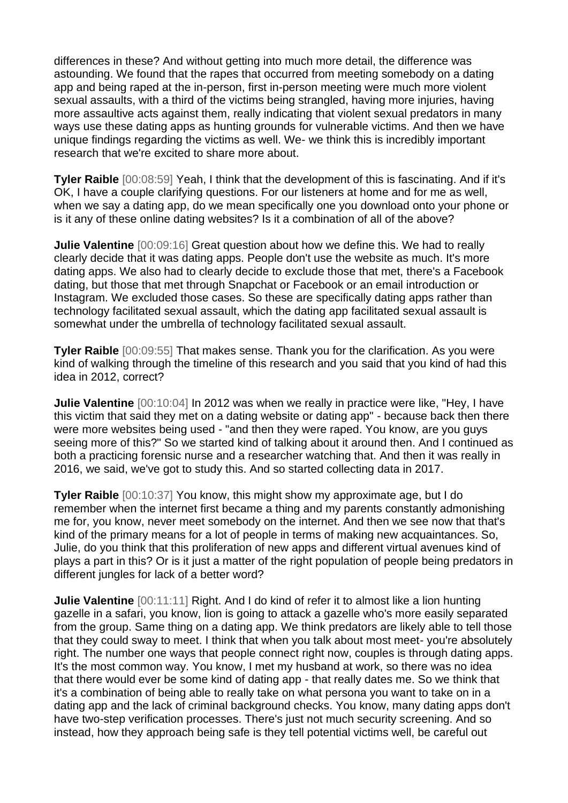differences in these? And without getting into much more detail, the difference was astounding. We found that the rapes that occurred from meeting somebody on a dating app and being raped at the in-person, first in-person meeting were much more violent sexual assaults, with a third of the victims being strangled, having more injuries, having more assaultive acts against them, really indicating that violent sexual predators in many ways use these dating apps as hunting grounds for vulnerable victims. And then we have unique findings regarding the victims as well. We- we think this is incredibly important research that we're excited to share more about.

**Tyler Raible** [00:08:59] Yeah, I think that the development of this is fascinating. And if it's OK, I have a couple clarifying questions. For our listeners at home and for me as well, when we say a dating app, do we mean specifically one you download onto your phone or is it any of these online dating websites? Is it a combination of all of the above?

**Julie Valentine** [00:09:16] Great question about how we define this. We had to really clearly decide that it was dating apps. People don't use the website as much. It's more dating apps. We also had to clearly decide to exclude those that met, there's a Facebook dating, but those that met through Snapchat or Facebook or an email introduction or Instagram. We excluded those cases. So these are specifically dating apps rather than technology facilitated sexual assault, which the dating app facilitated sexual assault is somewhat under the umbrella of technology facilitated sexual assault.

**Tyler Raible** [00:09:55] That makes sense. Thank you for the clarification. As you were kind of walking through the timeline of this research and you said that you kind of had this idea in 2012, correct?

**Julie Valentine** [00:10:04] In 2012 was when we really in practice were like, "Hey, I have this victim that said they met on a dating website or dating app" - because back then there were more websites being used - "and then they were raped. You know, are you guys seeing more of this?" So we started kind of talking about it around then. And I continued as both a practicing forensic nurse and a researcher watching that. And then it was really in 2016, we said, we've got to study this. And so started collecting data in 2017.

**Tyler Raible** [00:10:37] You know, this might show my approximate age, but I do remember when the internet first became a thing and my parents constantly admonishing me for, you know, never meet somebody on the internet. And then we see now that that's kind of the primary means for a lot of people in terms of making new acquaintances. So, Julie, do you think that this proliferation of new apps and different virtual avenues kind of plays a part in this? Or is it just a matter of the right population of people being predators in different jungles for lack of a better word?

**Julie Valentine**  $[00:11:11]$  Right. And I do kind of refer it to almost like a lion hunting gazelle in a safari, you know, lion is going to attack a gazelle who's more easily separated from the group. Same thing on a dating app. We think predators are likely able to tell those that they could sway to meet. I think that when you talk about most meet- you're absolutely right. The number one ways that people connect right now, couples is through dating apps. It's the most common way. You know, I met my husband at work, so there was no idea that there would ever be some kind of dating app - that really dates me. So we think that it's a combination of being able to really take on what persona you want to take on in a dating app and the lack of criminal background checks. You know, many dating apps don't have two-step verification processes. There's just not much security screening. And so instead, how they approach being safe is they tell potential victims well, be careful out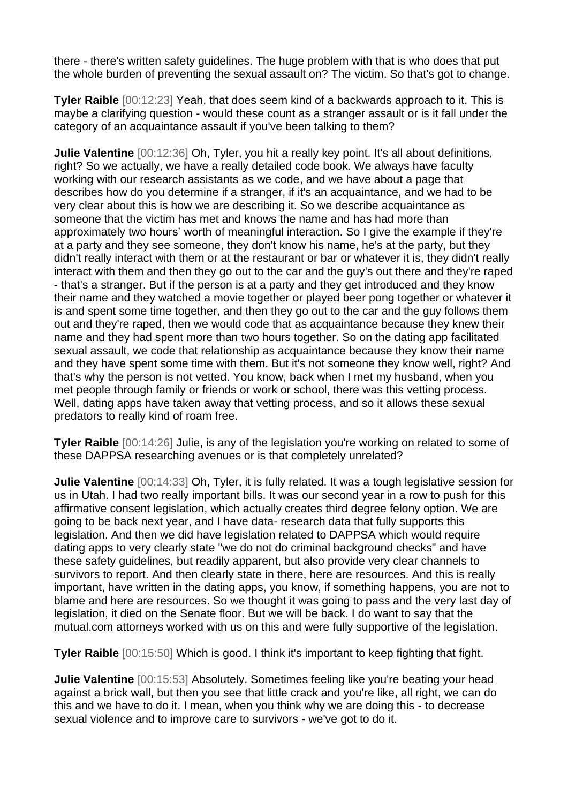there - there's written safety guidelines. The huge problem with that is who does that put the whole burden of preventing the sexual assault on? The victim. So that's got to change.

**Tyler Raible** [00:12:23] Yeah, that does seem kind of a backwards approach to it. This is maybe a clarifying question - would these count as a stranger assault or is it fall under the category of an acquaintance assault if you've been talking to them?

**Julie Valentine** [00:12:36] Oh, Tyler, you hit a really key point. It's all about definitions, right? So we actually, we have a really detailed code book. We always have faculty working with our research assistants as we code, and we have about a page that describes how do you determine if a stranger, if it's an acquaintance, and we had to be very clear about this is how we are describing it. So we describe acquaintance as someone that the victim has met and knows the name and has had more than approximately two hours' worth of meaningful interaction. So I give the example if they're at a party and they see someone, they don't know his name, he's at the party, but they didn't really interact with them or at the restaurant or bar or whatever it is, they didn't really interact with them and then they go out to the car and the guy's out there and they're raped - that's a stranger. But if the person is at a party and they get introduced and they know their name and they watched a movie together or played beer pong together or whatever it is and spent some time together, and then they go out to the car and the guy follows them out and they're raped, then we would code that as acquaintance because they knew their name and they had spent more than two hours together. So on the dating app facilitated sexual assault, we code that relationship as acquaintance because they know their name and they have spent some time with them. But it's not someone they know well, right? And that's why the person is not vetted. You know, back when I met my husband, when you met people through family or friends or work or school, there was this vetting process. Well, dating apps have taken away that vetting process, and so it allows these sexual predators to really kind of roam free.

**Tyler Raible** [00:14:26] Julie, is any of the legislation you're working on related to some of these DAPPSA researching avenues or is that completely unrelated?

**Julie Valentine** [00:14:33] Oh, Tyler, it is fully related. It was a tough legislative session for us in Utah. I had two really important bills. It was our second year in a row to push for this affirmative consent legislation, which actually creates third degree felony option. We are going to be back next year, and I have data- research data that fully supports this legislation. And then we did have legislation related to DAPPSA which would require dating apps to very clearly state "we do not do criminal background checks" and have these safety guidelines, but readily apparent, but also provide very clear channels to survivors to report. And then clearly state in there, here are resources. And this is really important, have written in the dating apps, you know, if something happens, you are not to blame and here are resources. So we thought it was going to pass and the very last day of legislation, it died on the Senate floor. But we will be back. I do want to say that the mutual.com attorneys worked with us on this and were fully supportive of the legislation.

**Tyler Raible** [00:15:50] Which is good. I think it's important to keep fighting that fight.

**Julie Valentine** [00:15:53] Absolutely. Sometimes feeling like you're beating your head against a brick wall, but then you see that little crack and you're like, all right, we can do this and we have to do it. I mean, when you think why we are doing this - to decrease sexual violence and to improve care to survivors - we've got to do it.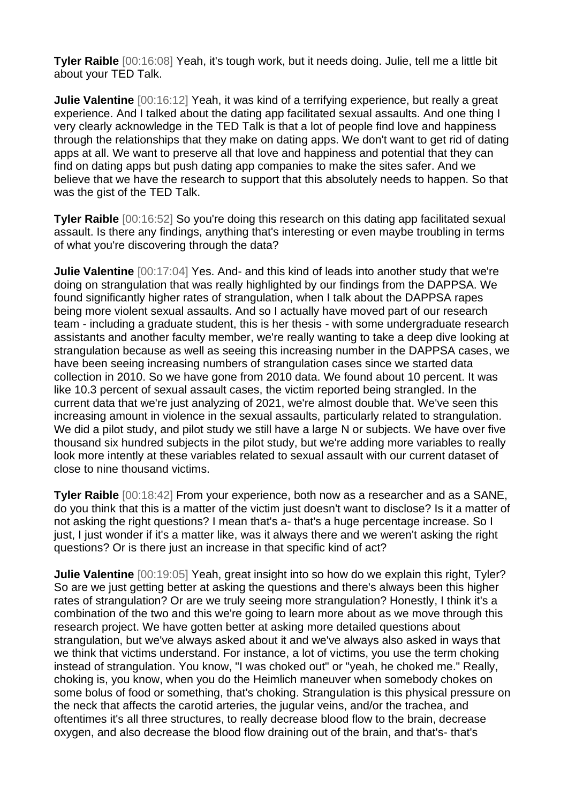**Tyler Raible** [00:16:08] Yeah, it's tough work, but it needs doing. Julie, tell me a little bit about your TED Talk.

**Julie Valentine** [00:16:12] Yeah, it was kind of a terrifying experience, but really a great experience. And I talked about the dating app facilitated sexual assaults. And one thing I very clearly acknowledge in the TED Talk is that a lot of people find love and happiness through the relationships that they make on dating apps. We don't want to get rid of dating apps at all. We want to preserve all that love and happiness and potential that they can find on dating apps but push dating app companies to make the sites safer. And we believe that we have the research to support that this absolutely needs to happen. So that was the gist of the TED Talk.

**Tyler Raible** [00:16:52] So you're doing this research on this dating app facilitated sexual assault. Is there any findings, anything that's interesting or even maybe troubling in terms of what you're discovering through the data?

**Julie Valentine** [00:17:04] Yes. And- and this kind of leads into another study that we're doing on strangulation that was really highlighted by our findings from the DAPPSA. We found significantly higher rates of strangulation, when I talk about the DAPPSA rapes being more violent sexual assaults. And so I actually have moved part of our research team - including a graduate student, this is her thesis - with some undergraduate research assistants and another faculty member, we're really wanting to take a deep dive looking at strangulation because as well as seeing this increasing number in the DAPPSA cases, we have been seeing increasing numbers of strangulation cases since we started data collection in 2010. So we have gone from 2010 data. We found about 10 percent. It was like 10.3 percent of sexual assault cases, the victim reported being strangled. In the current data that we're just analyzing of 2021, we're almost double that. We've seen this increasing amount in violence in the sexual assaults, particularly related to strangulation. We did a pilot study, and pilot study we still have a large N or subjects. We have over five thousand six hundred subjects in the pilot study, but we're adding more variables to really look more intently at these variables related to sexual assault with our current dataset of close to nine thousand victims.

**Tyler Raible** [00:18:42] From your experience, both now as a researcher and as a SANE, do you think that this is a matter of the victim just doesn't want to disclose? Is it a matter of not asking the right questions? I mean that's a- that's a huge percentage increase. So I just, I just wonder if it's a matter like, was it always there and we weren't asking the right questions? Or is there just an increase in that specific kind of act?

**Julie Valentine** [00:19:05] Yeah, great insight into so how do we explain this right, Tyler? So are we just getting better at asking the questions and there's always been this higher rates of strangulation? Or are we truly seeing more strangulation? Honestly, I think it's a combination of the two and this we're going to learn more about as we move through this research project. We have gotten better at asking more detailed questions about strangulation, but we've always asked about it and we've always also asked in ways that we think that victims understand. For instance, a lot of victims, you use the term choking instead of strangulation. You know, "I was choked out" or "yeah, he choked me." Really, choking is, you know, when you do the Heimlich maneuver when somebody chokes on some bolus of food or something, that's choking. Strangulation is this physical pressure on the neck that affects the carotid arteries, the jugular veins, and/or the trachea, and oftentimes it's all three structures, to really decrease blood flow to the brain, decrease oxygen, and also decrease the blood flow draining out of the brain, and that's- that's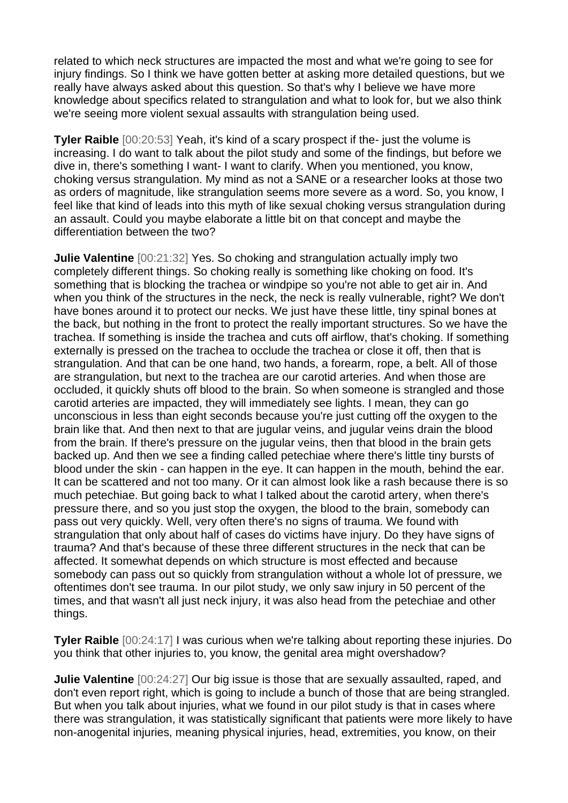related to which neck structures are impacted the most and what we're going to see for injury findings. So I think we have gotten better at asking more detailed questions, but we really have always asked about this question. So that's why I believe we have more knowledge about specifics related to strangulation and what to look for, but we also think we're seeing more violent sexual assaults with strangulation being used.

**Tyler Raible** [00:20:53] Yeah, it's kind of a scary prospect if the- just the volume is increasing. I do want to talk about the pilot study and some of the findings, but before we dive in, there's something I want- I want to clarify. When you mentioned, you know, choking versus strangulation. My mind as not a SANE or a researcher looks at those two as orders of magnitude, like strangulation seems more severe as a word. So, you know, I feel like that kind of leads into this myth of like sexual choking versus strangulation during an assault. Could you maybe elaborate a little bit on that concept and maybe the differentiation between the two?

**Julie Valentine** [00:21:32] Yes. So choking and strangulation actually imply two completely different things. So choking really is something like choking on food. It's something that is blocking the trachea or windpipe so you're not able to get air in. And when you think of the structures in the neck, the neck is really vulnerable, right? We don't have bones around it to protect our necks. We just have these little, tiny spinal bones at the back, but nothing in the front to protect the really important structures. So we have the trachea. If something is inside the trachea and cuts off airflow, that's choking. If something externally is pressed on the trachea to occlude the trachea or close it off, then that is strangulation. And that can be one hand, two hands, a forearm, rope, a belt. All of those are strangulation, but next to the trachea are our carotid arteries. And when those are occluded, it quickly shuts off blood to the brain. So when someone is strangled and those carotid arteries are impacted, they will immediately see lights. I mean, they can go unconscious in less than eight seconds because you're just cutting off the oxygen to the brain like that. And then next to that are jugular veins, and jugular veins drain the blood from the brain. If there's pressure on the jugular veins, then that blood in the brain gets backed up. And then we see a finding called petechiae where there's little tiny bursts of blood under the skin - can happen in the eye. It can happen in the mouth, behind the ear. It can be scattered and not too many. Or it can almost look like a rash because there is so much petechiae. But going back to what I talked about the carotid artery, when there's pressure there, and so you just stop the oxygen, the blood to the brain, somebody can pass out very quickly. Well, very often there's no signs of trauma. We found with strangulation that only about half of cases do victims have injury. Do they have signs of trauma? And that's because of these three different structures in the neck that can be affected. It somewhat depends on which structure is most effected and because somebody can pass out so quickly from strangulation without a whole lot of pressure, we oftentimes don't see trauma. In our pilot study, we only saw injury in 50 percent of the times, and that wasn't all just neck injury, it was also head from the petechiae and other things.

**Tyler Raible** [00:24:17] I was curious when we're talking about reporting these injuries. Do you think that other injuries to, you know, the genital area might overshadow?

**Julie Valentine** [00:24:27] Our big issue is those that are sexually assaulted, raped, and don't even report right, which is going to include a bunch of those that are being strangled. But when you talk about injuries, what we found in our pilot study is that in cases where there was strangulation, it was statistically significant that patients were more likely to have non-anogenital injuries, meaning physical injuries, head, extremities, you know, on their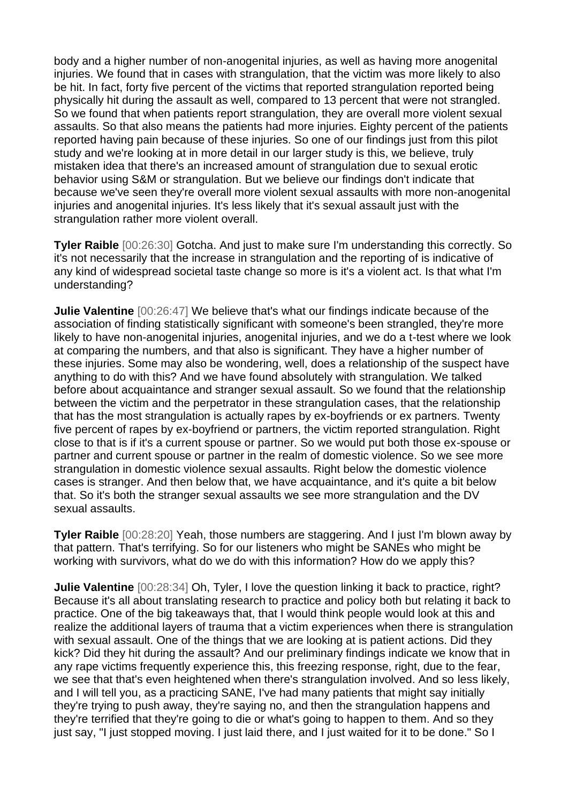body and a higher number of non-anogenital injuries, as well as having more anogenital injuries. We found that in cases with strangulation, that the victim was more likely to also be hit. In fact, forty five percent of the victims that reported strangulation reported being physically hit during the assault as well, compared to 13 percent that were not strangled. So we found that when patients report strangulation, they are overall more violent sexual assaults. So that also means the patients had more injuries. Eighty percent of the patients reported having pain because of these injuries. So one of our findings just from this pilot study and we're looking at in more detail in our larger study is this, we believe, truly mistaken idea that there's an increased amount of strangulation due to sexual erotic behavior using S&M or strangulation. But we believe our findings don't indicate that because we've seen they're overall more violent sexual assaults with more non-anogenital injuries and anogenital injuries. It's less likely that it's sexual assault just with the strangulation rather more violent overall.

**Tyler Raible** [00:26:30] Gotcha. And just to make sure I'm understanding this correctly. So it's not necessarily that the increase in strangulation and the reporting of is indicative of any kind of widespread societal taste change so more is it's a violent act. Is that what I'm understanding?

**Julie Valentine**  $[00:26:47]$  We believe that's what our findings indicate because of the association of finding statistically significant with someone's been strangled, they're more likely to have non-anogenital injuries, anogenital injuries, and we do a t-test where we look at comparing the numbers, and that also is significant. They have a higher number of these injuries. Some may also be wondering, well, does a relationship of the suspect have anything to do with this? And we have found absolutely with strangulation. We talked before about acquaintance and stranger sexual assault. So we found that the relationship between the victim and the perpetrator in these strangulation cases, that the relationship that has the most strangulation is actually rapes by ex-boyfriends or ex partners. Twenty five percent of rapes by ex-boyfriend or partners, the victim reported strangulation. Right close to that is if it's a current spouse or partner. So we would put both those ex-spouse or partner and current spouse or partner in the realm of domestic violence. So we see more strangulation in domestic violence sexual assaults. Right below the domestic violence cases is stranger. And then below that, we have acquaintance, and it's quite a bit below that. So it's both the stranger sexual assaults we see more strangulation and the DV sexual assaults.

**Tyler Raible** [00:28:20] Yeah, those numbers are staggering. And I just I'm blown away by that pattern. That's terrifying. So for our listeners who might be SANEs who might be working with survivors, what do we do with this information? How do we apply this?

**Julie Valentine** [00:28:34] Oh, Tyler, I love the question linking it back to practice, right? Because it's all about translating research to practice and policy both but relating it back to practice. One of the big takeaways that, that I would think people would look at this and realize the additional layers of trauma that a victim experiences when there is strangulation with sexual assault. One of the things that we are looking at is patient actions. Did they kick? Did they hit during the assault? And our preliminary findings indicate we know that in any rape victims frequently experience this, this freezing response, right, due to the fear, we see that that's even heightened when there's strangulation involved. And so less likely, and I will tell you, as a practicing SANE, I've had many patients that might say initially they're trying to push away, they're saying no, and then the strangulation happens and they're terrified that they're going to die or what's going to happen to them. And so they just say, "I just stopped moving. I just laid there, and I just waited for it to be done." So I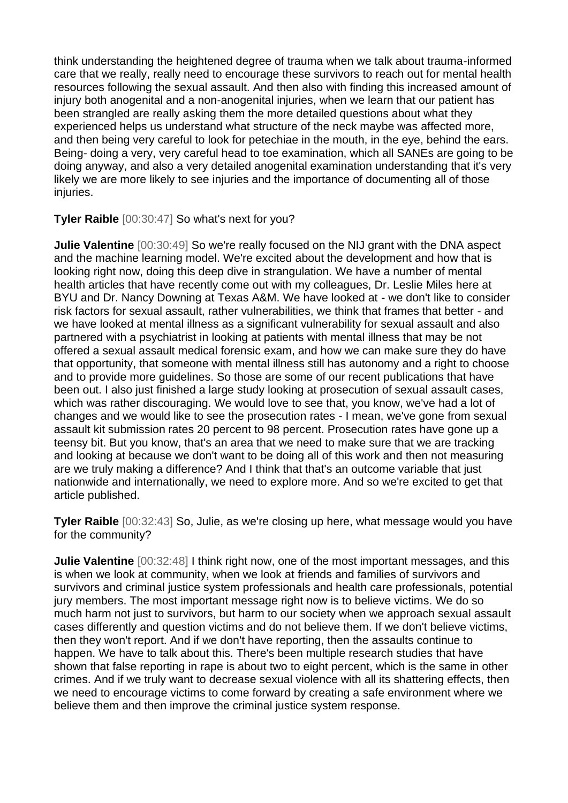think understanding the heightened degree of trauma when we talk about trauma-informed care that we really, really need to encourage these survivors to reach out for mental health resources following the sexual assault. And then also with finding this increased amount of injury both anogenital and a non-anogenital injuries, when we learn that our patient has been strangled are really asking them the more detailed questions about what they experienced helps us understand what structure of the neck maybe was affected more, and then being very careful to look for petechiae in the mouth, in the eye, behind the ears. Being- doing a very, very careful head to toe examination, which all SANEs are going to be doing anyway, and also a very detailed anogenital examination understanding that it's very likely we are more likely to see injuries and the importance of documenting all of those injuries.

**Tyler Raible** [00:30:47] So what's next for you?

**Julie Valentine** [00:30:49] So we're really focused on the NIJ grant with the DNA aspect and the machine learning model. We're excited about the development and how that is looking right now, doing this deep dive in strangulation. We have a number of mental health articles that have recently come out with my colleagues, Dr. Leslie Miles here at BYU and Dr. Nancy Downing at Texas A&M. We have looked at - we don't like to consider risk factors for sexual assault, rather vulnerabilities, we think that frames that better - and we have looked at mental illness as a significant vulnerability for sexual assault and also partnered with a psychiatrist in looking at patients with mental illness that may be not offered a sexual assault medical forensic exam, and how we can make sure they do have that opportunity, that someone with mental illness still has autonomy and a right to choose and to provide more guidelines. So those are some of our recent publications that have been out. I also just finished a large study looking at prosecution of sexual assault cases, which was rather discouraging. We would love to see that, you know, we've had a lot of changes and we would like to see the prosecution rates - I mean, we've gone from sexual assault kit submission rates 20 percent to 98 percent. Prosecution rates have gone up a teensy bit. But you know, that's an area that we need to make sure that we are tracking and looking at because we don't want to be doing all of this work and then not measuring are we truly making a difference? And I think that that's an outcome variable that just nationwide and internationally, we need to explore more. And so we're excited to get that article published.

**Tyler Raible** [00:32:43] So, Julie, as we're closing up here, what message would you have for the community?

**Julie Valentine** [00:32:48] I think right now, one of the most important messages, and this is when we look at community, when we look at friends and families of survivors and survivors and criminal justice system professionals and health care professionals, potential jury members. The most important message right now is to believe victims. We do so much harm not just to survivors, but harm to our society when we approach sexual assault cases differently and question victims and do not believe them. If we don't believe victims, then they won't report. And if we don't have reporting, then the assaults continue to happen. We have to talk about this. There's been multiple research studies that have shown that false reporting in rape is about two to eight percent, which is the same in other crimes. And if we truly want to decrease sexual violence with all its shattering effects, then we need to encourage victims to come forward by creating a safe environment where we believe them and then improve the criminal justice system response.